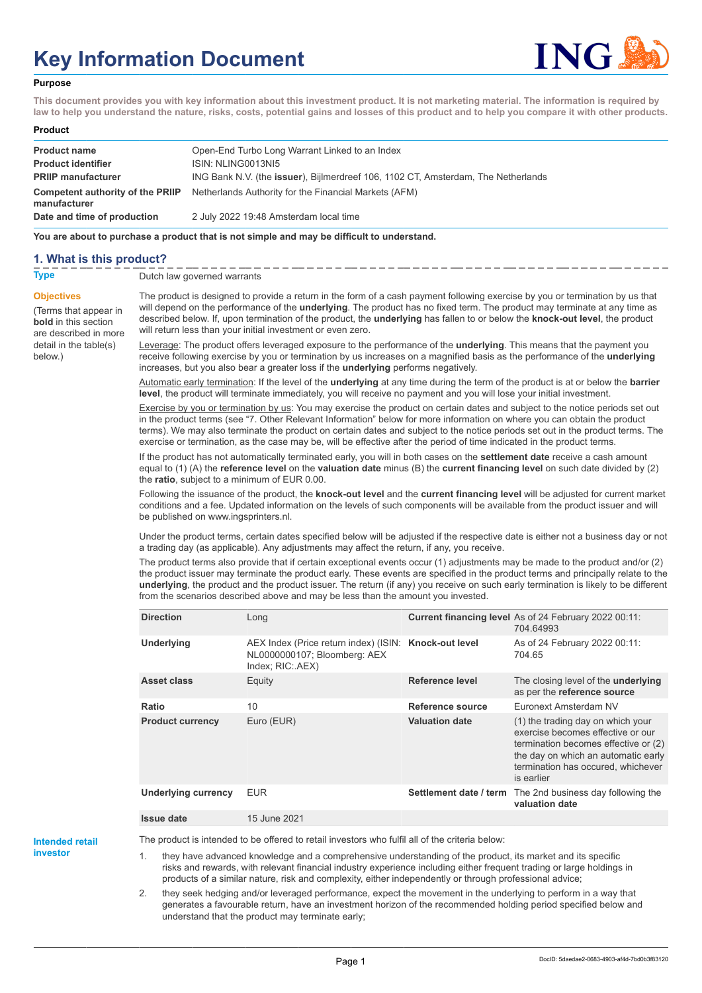# **Key Information Document**



#### **Purpose**

**This document provides you with key information about this investment product. It is not marketing material. The information is required by law to help you understand the nature, risks, costs, potential gains and losses of this product and to help you compare it with other products.**

#### **Product**

| <b>Product name</b>                              | Open-End Turbo Long Warrant Linked to an Index                                            |
|--------------------------------------------------|-------------------------------------------------------------------------------------------|
| <b>Product identifier</b>                        | ISIN: NLING0013NI5                                                                        |
| <b>PRIIP manufacturer</b>                        | ING Bank N.V. (the <b>issuer</b> ), Bijlmerdreef 106, 1102 CT, Amsterdam, The Netherlands |
| Competent authority of the PRIIP<br>manufacturer | Netherlands Authority for the Financial Markets (AFM)                                     |
| Date and time of production                      | 2 July 2022 19:48 Amsterdam local time                                                    |

**You are about to purchase a product that is not simple and may be difficult to understand.**

## **1. What is this product?**

below.)

#### **Type** Dutch law governed warrants

**Objectives** (Terms that appear in **bold** in this section are described in more detail in the table(s) will return less than your initial investment or even zero.

The product is designed to provide a return in the form of a cash payment following exercise by you or termination by us that will depend on the performance of the **underlying**. The product has no fixed term. The product may terminate at any time as described below. If, upon termination of the product, the **underlying** has fallen to or below the **knock-out level**, the product

Leverage: The product offers leveraged exposure to the performance of the **underlying**. This means that the payment you receive following exercise by you or termination by us increases on a magnified basis as the performance of the **underlying** increases, but you also bear a greater loss if the **underlying** performs negatively.

Automatic early termination: If the level of the **underlying** at any time during the term of the product is at or below the **barrier level**, the product will terminate immediately, you will receive no payment and you will lose your initial investment.

Exercise by you or termination by us: You may exercise the product on certain dates and subject to the notice periods set out in the product terms (see "7. Other Relevant Information" below for more information on where you can obtain the product terms). We may also terminate the product on certain dates and subject to the notice periods set out in the product terms. The exercise or termination, as the case may be, will be effective after the period of time indicated in the product terms.

If the product has not automatically terminated early, you will in both cases on the **settlement date** receive a cash amount equal to (1) (A) the **reference level** on the **valuation date** minus (B) the **current financing level** on such date divided by (2) the **ratio**, subject to a minimum of EUR 0.00.

Following the issuance of the product, the **knock-out level** and the **current financing level** will be adjusted for current market conditions and a fee. Updated information on the levels of such components will be available from the product issuer and will be published on www.ingsprinters.nl.

Under the product terms, certain dates specified below will be adjusted if the respective date is either not a business day or not a trading day (as applicable). Any adjustments may affect the return, if any, you receive.

The product terms also provide that if certain exceptional events occur (1) adjustments may be made to the product and/or (2) the product issuer may terminate the product early. These events are specified in the product terms and principally relate to the **underlying**, the product and the product issuer. The return (if any) you receive on such early termination is likely to be different from the scenarios described above and may be less than the amount you invested.

| <b>Direction</b>           | Long                                                                                                      |                        | Current financing level As of 24 February 2022 00:11:<br>704.64993                                                                                                                                        |
|----------------------------|-----------------------------------------------------------------------------------------------------------|------------------------|-----------------------------------------------------------------------------------------------------------------------------------------------------------------------------------------------------------|
| <b>Underlying</b>          | AEX Index (Price return index) (ISIN: Knock-out level<br>NL0000000107; Bloomberg: AEX<br>Index: RIC: AEX) |                        | As of 24 February 2022 00:11:<br>704.65                                                                                                                                                                   |
| <b>Asset class</b>         | Equity                                                                                                    | Reference level        | The closing level of the <b>underlying</b><br>as per the reference source                                                                                                                                 |
| Ratio                      | 10                                                                                                        | Reference source       | Euronext Amsterdam NV                                                                                                                                                                                     |
| <b>Product currency</b>    | Euro (EUR)                                                                                                | <b>Valuation date</b>  | (1) the trading day on which your<br>exercise becomes effective or our<br>termination becomes effective or (2)<br>the day on which an automatic early<br>termination has occured, whichever<br>is earlier |
| <b>Underlying currency</b> | <b>EUR</b>                                                                                                | Settlement date / term | The 2nd business day following the<br>valuation date                                                                                                                                                      |
| <b>Issue date</b>          | 15 June 2021                                                                                              |                        |                                                                                                                                                                                                           |

**Intended retail investor**

The product is intended to be offered to retail investors who fulfil all of the criteria below:

1. they have advanced knowledge and a comprehensive understanding of the product, its market and its specific risks and rewards, with relevant financial industry experience including either frequent trading or large holdings in products of a similar nature, risk and complexity, either independently or through professional advice;

2. they seek hedging and/or leveraged performance, expect the movement in the underlying to perform in a way that generates a favourable return, have an investment horizon of the recommended holding period specified below and understand that the product may terminate early;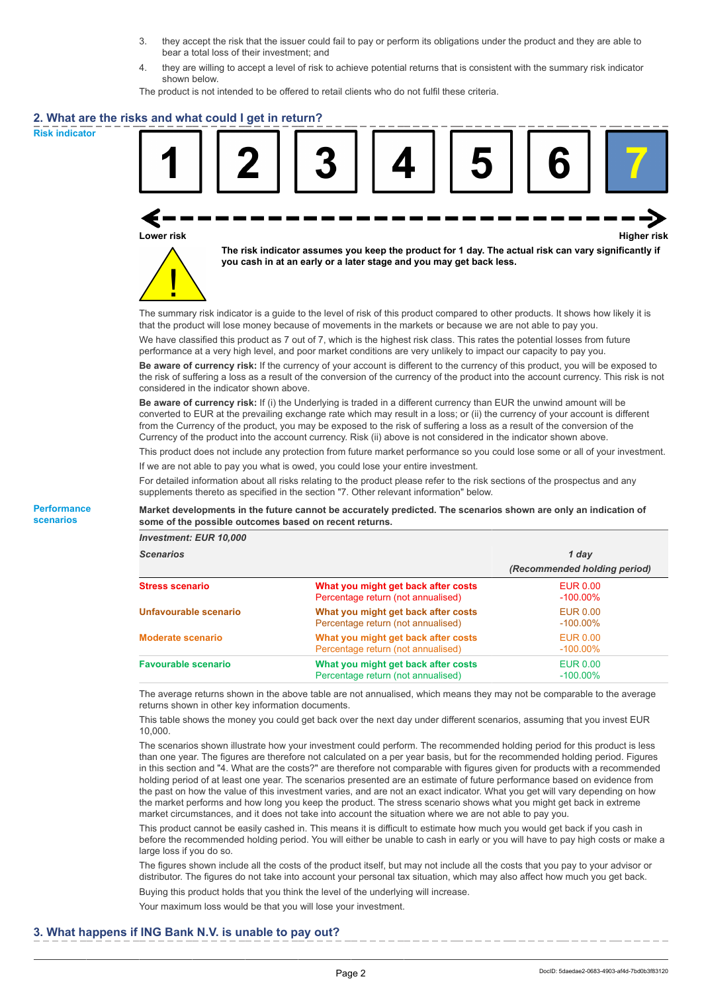- 3. they accept the risk that the issuer could fail to pay or perform its obligations under the product and they are able to bear a total loss of their investment; and
- 4. they are willing to accept a level of risk to achieve potential returns that is consistent with the summary risk indicator shown below.

The product is not intended to be offered to retail clients who do not fulfil these criteria.

## **2. What are the risks and what could I get in return?**

**Risk indicator**

**Performance scenarios**



**Lower risk Higher risk**



**The risk indicator assumes you keep the product for 1 day. The actual risk can vary significantly if you cash in at an early or a later stage and you may get back less.**

The summary risk indicator is a guide to the level of risk of this product compared to other products. It shows how likely it is that the product will lose money because of movements in the markets or because we are not able to pay you.

We have classified this product as 7 out of 7, which is the highest risk class. This rates the potential losses from future performance at a very high level, and poor market conditions are very unlikely to impact our capacity to pay you.

**Be aware of currency risk:** If the currency of your account is different to the currency of this product, you will be exposed to the risk of suffering a loss as a result of the conversion of the currency of the product into the account currency. This risk is not considered in the indicator shown above.

**Be aware of currency risk:** If (i) the Underlying is traded in a different currency than EUR the unwind amount will be converted to EUR at the prevailing exchange rate which may result in a loss; or (ii) the currency of your account is different from the Currency of the product, you may be exposed to the risk of suffering a loss as a result of the conversion of the Currency of the product into the account currency. Risk (ii) above is not considered in the indicator shown above.

This product does not include any protection from future market performance so you could lose some or all of your investment. If we are not able to pay you what is owed, you could lose your entire investment.

For detailed information about all risks relating to the product please refer to the risk sections of the prospectus and any supplements thereto as specified in the section "7. Other relevant information" below.

**Market developments in the future cannot be accurately predicted. The scenarios shown are only an indication of some of the possible outcomes based on recent returns.**

*Investment: EUR 10,000*

| <b>Scenarios</b>           |                                                                           | 1 day                          |  |
|----------------------------|---------------------------------------------------------------------------|--------------------------------|--|
|                            |                                                                           | (Recommended holding period)   |  |
| <b>Stress scenario</b>     | What you might get back after costs<br>Percentage return (not annualised) | <b>EUR 0.00</b><br>$-100.00\%$ |  |
| Unfavourable scenario      | What you might get back after costs<br>Percentage return (not annualised) | EUR 0.00<br>$-100.00\%$        |  |
| <b>Moderate scenario</b>   | What you might get back after costs<br>Percentage return (not annualised) | <b>EUR 0.00</b><br>$-100.00\%$ |  |
| <b>Favourable scenario</b> | What you might get back after costs<br>Percentage return (not annualised) | <b>EUR 0.00</b><br>$-100.00\%$ |  |

The average returns shown in the above table are not annualised, which means they may not be comparable to the average returns shown in other key information documents.

This table shows the money you could get back over the next day under different scenarios, assuming that you invest EUR 10,000.

The scenarios shown illustrate how your investment could perform. The recommended holding period for this product is less than one year. The figures are therefore not calculated on a per year basis, but for the recommended holding period. Figures in this section and "4. What are the costs?" are therefore not comparable with figures given for products with a recommended holding period of at least one year. The scenarios presented are an estimate of future performance based on evidence from the past on how the value of this investment varies, and are not an exact indicator. What you get will vary depending on how the market performs and how long you keep the product. The stress scenario shows what you might get back in extreme market circumstances, and it does not take into account the situation where we are not able to pay you.

This product cannot be easily cashed in. This means it is difficult to estimate how much you would get back if you cash in before the recommended holding period. You will either be unable to cash in early or you will have to pay high costs or make a large loss if you do so.

The figures shown include all the costs of the product itself, but may not include all the costs that you pay to your advisor or distributor. The figures do not take into account your personal tax situation, which may also affect how much you get back.

Buying this product holds that you think the level of the underlying will increase.

Your maximum loss would be that you will lose your investment.

### **3. What happens if ING Bank N.V. is unable to pay out?**